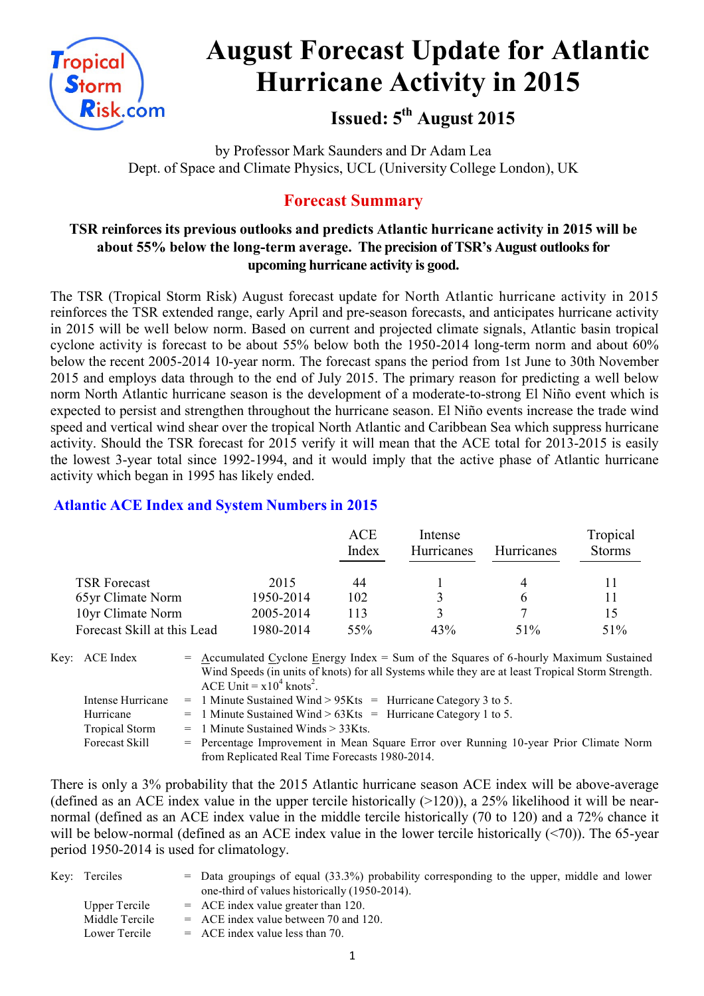

# **August Forecast Update for Atlantic Hurricane Activity in 2015**

# **Issued: 5th August 2015**

by Professor Mark Saunders and Dr Adam Lea Dept. of Space and Climate Physics, UCL (University College London), UK

### **Forecast Summary**

#### **TSR reinforces its previous outlooks and predicts Atlantic hurricane activity in 2015 will be about 55% below the long-term average. The precision of TSR's August outlooks for upcoming hurricane activity is good.**

The TSR (Tropical Storm Risk) August forecast update for North Atlantic hurricane activity in 2015 reinforces the TSR extended range, early April and pre-season forecasts, and anticipates hurricane activity in 2015 will be well below norm. Based on current and projected climate signals, Atlantic basin tropical cyclone activity is forecast to be about 55% below both the 1950-2014 long-term norm and about 60% below the recent 2005-2014 10-year norm. The forecast spans the period from 1st June to 30th November 2015 and employs data through to the end of July 2015. The primary reason for predicting a well below norm North Atlantic hurricane season is the development of a moderate-to-strong El Niño event which is expected to persist and strengthen throughout the hurricane season. El Niño events increase the trade wind speed and vertical wind shear over the tropical North Atlantic and Caribbean Sea which suppress hurricane activity. Should the TSR forecast for 2015 verify it will mean that the ACE total for 2013-2015 is easily the lowest 3-year total since 1992-1994, and it would imply that the active phase of Atlantic hurricane activity which began in 1995 has likely ended.

#### **Atlantic ACE Index and System Numbers in 2015**

|                             |           | ACE<br>Index | Intense<br><b>Hurricanes</b> | <b>Hurricanes</b> | Tropical<br><b>Storms</b> |
|-----------------------------|-----------|--------------|------------------------------|-------------------|---------------------------|
| <b>TSR Forecast</b>         | 2015      | 44           |                              | 4                 |                           |
| 65yr Climate Norm           | 1950-2014 | 102          |                              | b                 |                           |
| 10yr Climate Norm           | 2005-2014 | 113          |                              |                   | 15                        |
| Forecast Skill at this Lead | 1980-2014 | 55%          | 43%                          | 51%               | 51%                       |

| Key: ACE Index        | $=$ Accumulated Cyclone Energy Index $=$ Sum of the Squares of 6-hourly Maximum Sustained<br>Wind Speeds (in units of knots) for all Systems while they are at least Tropical Storm Strength.<br>ACE Unit = $x10^4$ knots <sup>2</sup> . |
|-----------------------|------------------------------------------------------------------------------------------------------------------------------------------------------------------------------------------------------------------------------------------|
| Intense Hurricane     | $=$ 1 Minute Sustained Wind > 95Kts $=$ Hurricane Category 3 to 5.                                                                                                                                                                       |
| Hurricane             | $=$ 1 Minute Sustained Wind > 63Kts = Hurricane Category 1 to 5.                                                                                                                                                                         |
| <b>Tropical Storm</b> | $=$ 1 Minute Sustained Winds $>$ 33Kts.                                                                                                                                                                                                  |
| Forecast Skill        | = Percentage Improvement in Mean Square Error over Running 10-year Prior Climate Norm                                                                                                                                                    |
|                       | from Replicated Real Time Forecasts 1980-2014.                                                                                                                                                                                           |

There is only a 3% probability that the 2015 Atlantic hurricane season ACE index will be above-average (defined as an ACE index value in the upper tercile historically  $(>120)$ ), a 25% likelihood it will be nearnormal (defined as an ACE index value in the middle tercile historically (70 to 120) and a 72% chance it will be below-normal (defined as an ACE index value in the lower tercile historically (<70)). The 65-year period 1950-2014 is used for climatology.

| Key: Terciles  | $=$ Data groupings of equal (33.3%) probability corresponding to the upper, middle and lower<br>one-third of values historically (1950-2014). |
|----------------|-----------------------------------------------------------------------------------------------------------------------------------------------|
| Upper Tercile  | $=$ ACE index value greater than 120.                                                                                                         |
| Middle Tercile | $=$ ACE index value between 70 and 120.                                                                                                       |
| Lower Tercile  | $=$ ACE index value less than 70.                                                                                                             |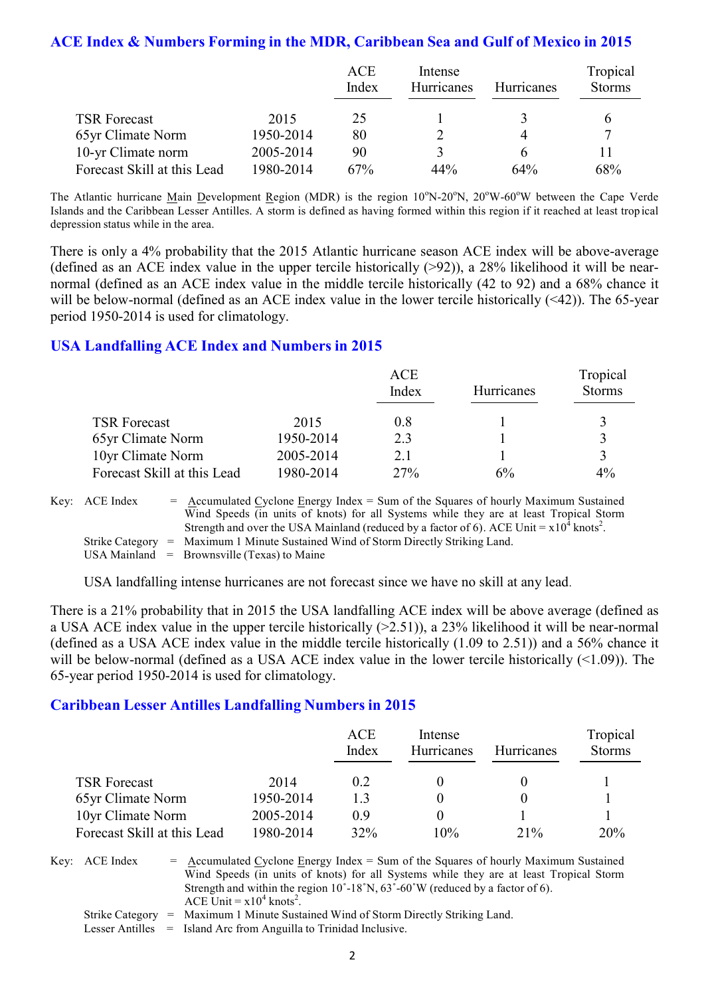#### **ACE Index & Numbers Forming in the MDR, Caribbean Sea and Gulf of Mexico in 2015**

|                             |           | <b>ACE</b> | Intense    |            | Tropical      |
|-----------------------------|-----------|------------|------------|------------|---------------|
|                             |           | Index      | Hurricanes | Hurricanes | <b>Storms</b> |
|                             |           |            |            |            |               |
| <b>TSR Forecast</b>         | 2015      | 25         |            |            |               |
| 65yr Climate Norm           | 1950-2014 | 80         |            |            |               |
| 10-yr Climate norm          | 2005-2014 | 90         | ζ          |            |               |
| Forecast Skill at this Lead | 1980-2014 | 67%        | 44%        | 64%        | 68%           |

The Atlantic hurricane Main Development Region (MDR) is the region 10°N-20°N, 20°W-60°W between the Cape Verde Islands and the Caribbean Lesser Antilles. A storm is defined as having formed within this region if it reached at least tropical depression status while in the area.

There is only a 4% probability that the 2015 Atlantic hurricane season ACE index will be above-average (defined as an ACE index value in the upper tercile historically  $(>92)$ ), a 28% likelihood it will be nearnormal (defined as an ACE index value in the middle tercile historically (42 to 92) and a 68% chance it will be below-normal (defined as an ACE index value in the lower tercile historically (<42)). The 65-year period 1950-2014 is used for climatology.

#### **USA Landfalling ACE Index and Numbers in 2015**

|                             |           | ACE<br>Index | Hurricanes | Tropical<br><b>Storms</b> |
|-----------------------------|-----------|--------------|------------|---------------------------|
| <b>TSR Forecast</b>         | 2015      | 0.8          |            | ζ                         |
| 65yr Climate Norm           | 1950-2014 | 2.3          |            | ζ                         |
| 10yr Climate Norm           | 2005-2014 | 21           |            | ζ                         |
| Forecast Skill at this Lead | 1980-2014 | 27%          | 6%         | 4%                        |

Key:  $\text{ACE Index} = \text{Accumulated Cyclone Energy Index} = \text{Sum of the Squares of hourly Maximum Sustainable distance.}$ Wind Speeds (in units of knots) for all Systems while they are at least Tropical Storm Strength and over the USA Mainland (reduced by a factor of 6). ACE Unit =  $x10^4$  knots<sup>2</sup>. Strike Category = Maximum 1 Minute Sustained Wind of Storm Directly Striking Land. USA Mainland  $=$  Brownsville (Texas) to Maine

USA landfalling intense hurricanes are not forecast since we have no skill at any lead.

There is a 21% probability that in 2015 the USA landfalling ACE index will be above average (defined as a USA ACE index value in the upper tercile historically (>2.51)), a 23% likelihood it will be near-normal (defined as a USA ACE index value in the middle tercile historically (1.09 to 2.51)) and a 56% chance it will be below-normal (defined as a USA ACE index value in the lower tercile historically  $($ (  $>$ 1.09)). The 65-year period 1950-2014 is used for climatology.

#### **Caribbean Lesser Antilles Landfalling Numbers in 2015**

|                             |           | ACE<br>Index | Intense<br>Hurricanes | <b>Hurricanes</b> | Tropical<br><b>Storms</b> |
|-----------------------------|-----------|--------------|-----------------------|-------------------|---------------------------|
| <b>TSR Forecast</b>         | 2014      | 0.2          |                       |                   |                           |
| 65yr Climate Norm           | 1950-2014 | 13           |                       |                   |                           |
| 10yr Climate Norm           | 2005-2014 | 09           |                       |                   |                           |
| Forecast Skill at this Lead | 1980-2014 | 32%          | 10%                   | $21\%$            | 20%                       |

Key:  $ACE Index = Accumulated Cyclone Energy Index = Sum of the Squares of hourly Maximum Sustainable$ Wind Speeds (in units of knots) for all Systems while they are at least Tropical Storm Strength and within the region  $10^{\circ}$ -18°N,  $63^{\circ}$ -60°W (reduced by a factor of 6). ACE Unit =  $x10^4$  knots<sup>2</sup>. Strike Category = Maximum 1 Minute Sustained Wind of Storm Directly Striking Land.

Lesser Antilles = Island Arc from Anguilla to Trinidad Inclusive.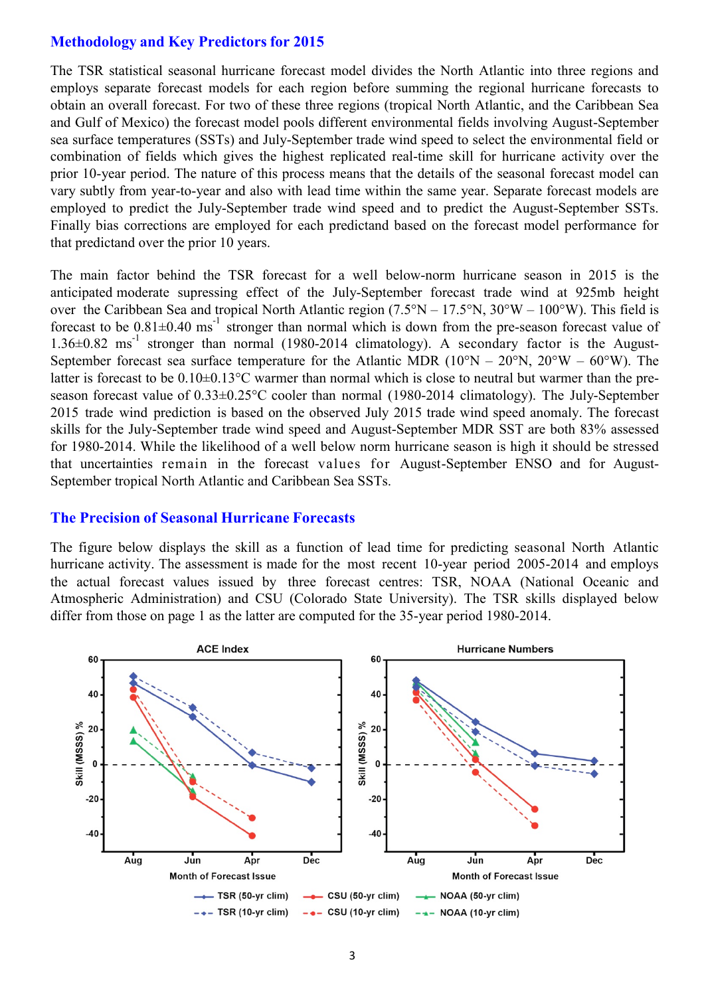#### **Methodology and Key Predictors for 2015**

The TSR statistical seasonal hurricane forecast model divides the North Atlantic into three regions and employs separate forecast models for each region before summing the regional hurricane forecasts to obtain an overall forecast. For two of these three regions (tropical North Atlantic, and the Caribbean Sea and Gulf of Mexico) the forecast model pools different environmental fields involving August-September sea surface temperatures (SSTs) and July-September trade wind speed to select the environmental field or combination of fields which gives the highest replicated real-time skill for hurricane activity over the prior 10-year period. The nature of this process means that the details of the seasonal forecast model can vary subtly from year-to-year and also with lead time within the same year. Separate forecast models are employed to predict the July-September trade wind speed and to predict the August-September SSTs. Finally bias corrections are employed for each predictand based on the forecast model performance for that predictand over the prior 10 years.

The main factor behind the TSR forecast for a well below-norm hurricane season in 2015 is the anticipated moderate supressing effect of the July-September forecast trade wind at 925mb height over the Caribbean Sea and tropical North Atlantic region  $(7.5^{\circ}N - 17.5^{\circ}N, 30^{\circ}W - 100^{\circ}W)$ . This field is forecast to be  $0.81\pm0.40$  ms<sup>-1</sup> stronger than normal which is down from the pre-season forecast value of  $1.36\pm0.82$  ms<sup>-1</sup> stronger than normal (1980-2014 climatology). A secondary factor is the August-September forecast sea surface temperature for the Atlantic MDR  $(10^{\circ}N - 20^{\circ}N, 20^{\circ}W - 60^{\circ}W)$ . The latter is forecast to be  $0.10\pm0.13$ °C warmer than normal which is close to neutral but warmer than the preseason forecast value of 0.33±0.25°C cooler than normal (1980-2014 climatology). The July-September 2015 trade wind prediction is based on the observed July 2015 trade wind speed anomaly. The forecast skills for the July-September trade wind speed and August-September MDR SST are both 83% assessed for 1980-2014. While the likelihood of a well below norm hurricane season is high it should be stressed that uncertainties remain in the forecast values for August-September ENSO and for August-September tropical North Atlantic and Caribbean Sea SSTs.

#### **The Precision of Seasonal Hurricane Forecasts**

The figure below displays the skill as a function of lead time for predicting seasonal North Atlantic hurricane activity. The assessment is made for the most recent 10-year period 2005-2014 and employs the actual forecast values issued by three forecast centres: TSR, NOAA (National Oceanic and Atmospheric Administration) and CSU (Colorado State University). The TSR skills displayed below differ from those on page 1 as the latter are computed for the 35-year period 1980-2014.

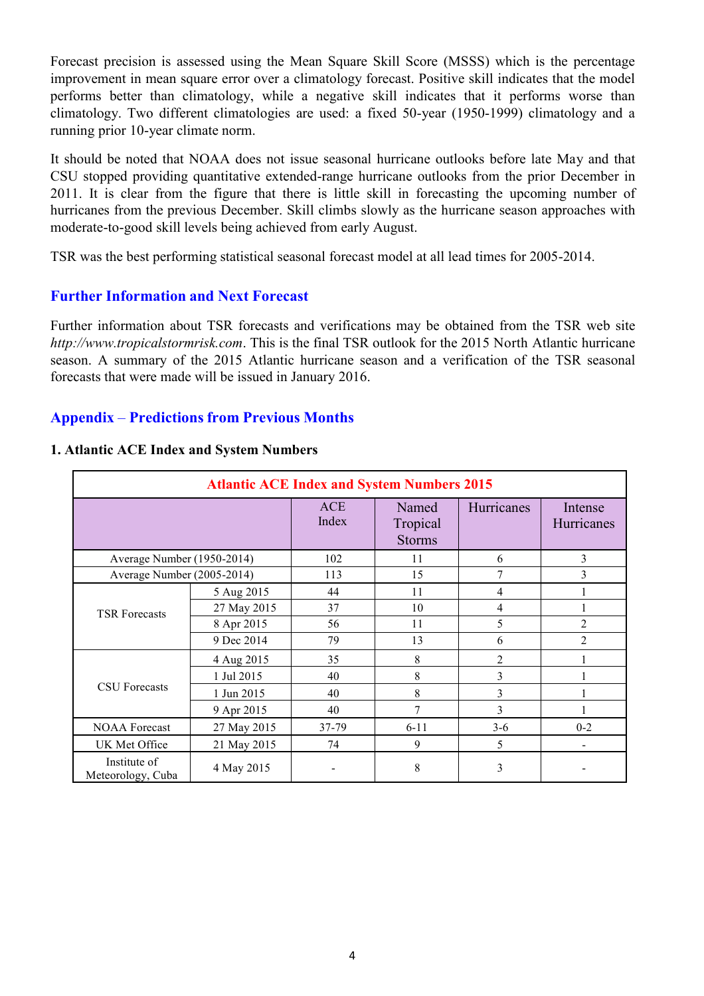Forecast precision is assessed using the Mean Square Skill Score (MSSS) which is the percentage improvement in mean square error over a climatology forecast. Positive skill indicates that the model performs better than climatology, while a negative skill indicates that it performs worse than climatology. Two different climatologies are used: a fixed 50-year (1950-1999) climatology and a running prior 10-year climate norm.

It should be noted that NOAA does not issue seasonal hurricane outlooks before late May and that CSU stopped providing quantitative extended-range hurricane outlooks from the prior December in 2011. It is clear from the figure that there is little skill in forecasting the upcoming number of hurricanes from the previous December. Skill climbs slowly as the hurricane season approaches with moderate-to-good skill levels being achieved from early August.

TSR was the best performing statistical seasonal forecast model at all lead times for 2005-2014.

#### **Further Information and Next Forecast**

Further information about TSR forecasts and verifications may be obtained from the TSR web site *http://www.tropicalstormrisk.com*. This is the final TSR outlook for the 2015 North Atlantic hurricane season. A summary of the 2015 Atlantic hurricane season and a verification of the TSR seasonal forecasts that were made will be issued in January 2016.

#### **Appendix** – **Predictions from Previous Months**

| <b>Atlantic ACE Index and System Numbers 2015</b> |             |                     |                                    |                |                              |  |
|---------------------------------------------------|-------------|---------------------|------------------------------------|----------------|------------------------------|--|
|                                                   |             | <b>ACE</b><br>Index | Named<br>Tropical<br><b>Storms</b> | Hurricanes     | Intense<br>Hurricanes        |  |
| Average Number (1950-2014)                        |             | 102                 | 11                                 | 6              | 3                            |  |
| Average Number (2005-2014)                        |             | 113                 | 15                                 | 7              | 3                            |  |
|                                                   | 5 Aug 2015  | 44                  | 11                                 | $\overline{4}$ |                              |  |
| <b>TSR Forecasts</b>                              | 27 May 2015 | 37                  | 10                                 | $\overline{4}$ |                              |  |
|                                                   | 8 Apr 2015  | 56                  | 11                                 | 5              | $\overline{2}$               |  |
|                                                   | 9 Dec 2014  | 79                  | 13                                 | 6              | $\overline{2}$               |  |
|                                                   | 4 Aug 2015  | 35                  | 8                                  | 2              |                              |  |
|                                                   | 1 Jul 2015  | 40                  | 8                                  | 3              |                              |  |
| <b>CSU</b> Forecasts                              | 1 Jun 2015  | 40                  | 8                                  | 3              |                              |  |
|                                                   | 9 Apr 2015  | 40                  | $\overline{7}$                     | 3              |                              |  |
| <b>NOAA Forecast</b>                              | 27 May 2015 | 37-79               | $6 - 11$                           | $3-6$          | $0 - 2$                      |  |
| UK Met Office                                     | 21 May 2015 | 74                  | 9                                  | 5              | $\qquad \qquad \blacksquare$ |  |
| Institute of<br>Meteorology, Cuba                 | 4 May 2015  |                     | 8                                  | 3              |                              |  |

#### **1. Atlantic ACE Index and System Numbers**